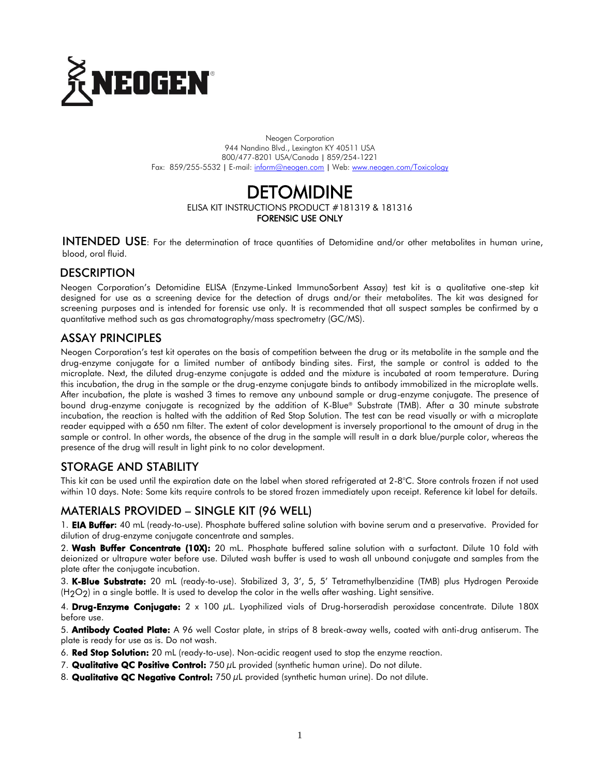

Neogen Corporation 944 Nandino Blvd., Lexington KY 40511 USA 800/477-8201 USA/Canada | 859/254-1221 Fax: 859/255-5532 | E-mail[: inform@neogen.com](mailto:inform@neogen.com) | Web[: www.neogen.com/Toxicology](http://www.neogen.com/Toxicology)

# DETOMIDINE

ELISA KIT INSTRUCTIONS PRODUCT #181319 & 181316

FORENSIC USE ONLY

INTENDED USE: For the determination of trace quantities of Detomidine and/or other metabolites in human urine, blood, oral fluid.

# **DESCRIPTION**

Neogen Corporation's Detomidine ELISA (Enzyme-Linked ImmunoSorbent Assay) test kit is a qualitative one-step kit designed for use as a screening device for the detection of drugs and/or their metabolites. The kit was designed for screening purposes and is intended for forensic use only. It is recommended that all suspect samples be confirmed by a quantitative method such as gas chromatography/mass spectrometry (GC/MS).

# ASSAY PRINCIPLES

Neogen Corporation's test kit operates on the basis of competition between the drug or its metabolite in the sample and the drug-enzyme conjugate for a limited number of antibody binding sites. First, the sample or control is added to the microplate. Next, the diluted drug-enzyme conjugate is added and the mixture is incubated at room temperature. During this incubation, the drug in the sample or the drug-enzyme conjugate binds to antibody immobilized in the microplate wells. After incubation, the plate is washed 3 times to remove any unbound sample or drug-enzyme conjugate. The presence of bound drug-enzyme conjugate is recognized by the addition of K-Blue® Substrate (TMB). After a 30 minute substrate incubation, the reaction is halted with the addition of Red Stop Solution. The test can be read visually or with a microplate reader equipped with a 650 nm filter. The extent of color development is inversely proportional to the amount of drug in the sample or control. In other words, the absence of the drug in the sample will result in a dark blue/purple color, whereas the presence of the drug will result in light pink to no color development.

# STORAGE AND STABILITY

This kit can be used until the expiration date on the label when stored refrigerated at 2-8°C. Store controls frozen if not used within 10 days. Note: Some kits require controls to be stored frozen immediately upon receipt. Reference kit label for details.

# MATERIALS PROVIDED – SINGLE KIT (96 WELL)

1. **EIA Buffer:** 40 mL (ready-to-use). Phosphate buffered saline solution with bovine serum and a preservative. Provided for dilution of drug-enzyme conjugate concentrate and samples.

2. Wash Buffer Concentrate (10X): 20 mL. Phosphate buffered saline solution with a surfactant. Dilute 10 fold with deionized or ultrapure water before use. Diluted wash buffer is used to wash all unbound conjugate and samples from the plate after the conjugate incubation.

3. K-Blue Substrate: 20 mL (ready-to-use). Stabilized 3, 3', 5, 5' Tetramethylbenzidine (TMB) plus Hydrogen Peroxide  $(H<sub>2</sub>O<sub>2</sub>)$  in a single bottle. It is used to develop the color in the wells after washing. Light sensitive.

4. Drug-Enzyme Conjugate:  $2 \times 100$  µL. Lyophilized vials of Drug-horseradish peroxidase concentrate. Dilute 180X before use.

5. Antibody Coated Plate: A 96 well Costar plate, in strips of 8 break-away wells, coated with anti-drug antiserum. The plate is ready for use as is. Do not wash.

6. Red Stop Solution: 20 mL (ready-to-use). Non-acidic reagent used to stop the enzyme reaction.

- 7. **Qualitative QC Positive Control:** 750 uL provided (synthetic human urine). Do not dilute.
- 8. Qualitative QC Negative Control:  $750 \mu$ L provided (synthetic human urine). Do not dilute.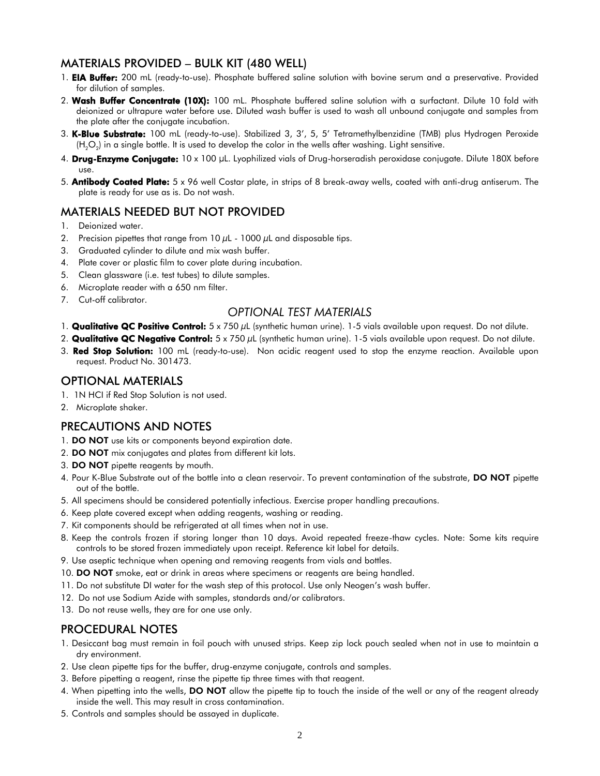# MATERIALS PROVIDED – BULK KIT (480 WELL)

- 1. **EIA Buffer:** 200 mL (ready-to-use). Phosphate buffered saline solution with bovine serum and a preservative. Provided for dilution of samples.
- 2. Wash Buffer Concentrate (10X): 100 mL. Phosphate buffered saline solution with a surfactant. Dilute 10 fold with deionized or ultrapure water before use. Diluted wash buffer is used to wash all unbound conjugate and samples from the plate after the conjugate incubation.
- 3. K-Blue Substrate: 100 mL (ready-to-use). Stabilized 3, 3', 5, 5' Tetramethylbenzidine (TMB) plus Hydrogen Peroxide (H<sub>2</sub>O<sub>2</sub>) in a single bottle. It is used to develop the color in the wells after washing. Light sensitive.
- 4. Drug-Enzyme Conjugate:  $10 \times 100$  µL. Lyophilized vials of Drug-horseradish peroxidase conjugate. Dilute 180X before use.
- 5. **Antibody Coated Plate:**  $5 \times 96$  well Costar plate, in strips of 8 break-away wells, coated with anti-drug antiserum. The plate is ready for use as is. Do not wash.

# MATERIALS NEEDED BUT NOT PROVIDED

- 1. Deionized water.
- 2. Precision pipettes that range from  $10 \mu$ L  $1000 \mu$ L and disposable tips.
- 3. Graduated cylinder to dilute and mix wash buffer.
- 4. Plate cover or plastic film to cover plate during incubation.
- 5. Clean glassware (i.e. test tubes) to dilute samples.
- 6. Microplate reader with a 650 nm filter.
- 7. Cut-off calibrator.

## *OPTIONAL TEST MATERIALS*

- 1. **Qualitative QC Positive Control:**  $5 \times 750 \mu L$  (synthetic human urine). 1-5 vials available upon request. Do not dilute.
- 2. Qualitative QC Negative Control:  $5 \times 750 \,\mu$ L (synthetic human urine). 1-5 vials available upon request. Do not dilute.
- 3. Red Stop Solution: 100 mL (ready-to-use). Non acidic reagent used to stop the enzyme reaction. Available upon request. Product No. 301473.

## OPTIONAL MATERIALS

- 1. 1N HCI if Red Stop Solution is not used.
- 2. Microplate shaker.

## PRECAUTIONS AND NOTES

- 1. DO NOT use kits or components beyond expiration date.
- 2. DO NOT mix conjugates and plates from different kit lots.
- 3. DO NOT pipette reagents by mouth.
- 4. Pour K-Blue Substrate out of the bottle into a clean reservoir. To prevent contamination of the substrate, DO NOT pipette out of the bottle.
- 5. All specimens should be considered potentially infectious. Exercise proper handling precautions.
- 6. Keep plate covered except when adding reagents, washing or reading.
- 7. Kit components should be refrigerated at all times when not in use.
- 8. Keep the controls frozen if storing longer than 10 days. Avoid repeated freeze-thaw cycles. Note: Some kits require controls to be stored frozen immediately upon receipt. Reference kit label for details.
- 9. Use aseptic technique when opening and removing reagents from vials and bottles.
- 10. DO NOT smoke, eat or drink in areas where specimens or reagents are being handled.
- 11. Do not substitute DI water for the wash step of this protocol. Use only Neogen's wash buffer.
- 12. Do not use Sodium Azide with samples, standards and/or calibrators.
- 13. Do not reuse wells, they are for one use only.

## PROCEDURAL NOTES

- 1. Desiccant bag must remain in foil pouch with unused strips. Keep zip lock pouch sealed when not in use to maintain a dry environment.
- 2. Use clean pipette tips for the buffer, drug-enzyme conjugate, controls and samples.
- 3. Before pipetting a reagent, rinse the pipette tip three times with that reagent.
- 4. When pipetting into the wells, **DO NOT** allow the pipette tip to touch the inside of the well or any of the reagent already inside the well. This may result in cross contamination.
- 5. Controls and samples should be assayed in duplicate.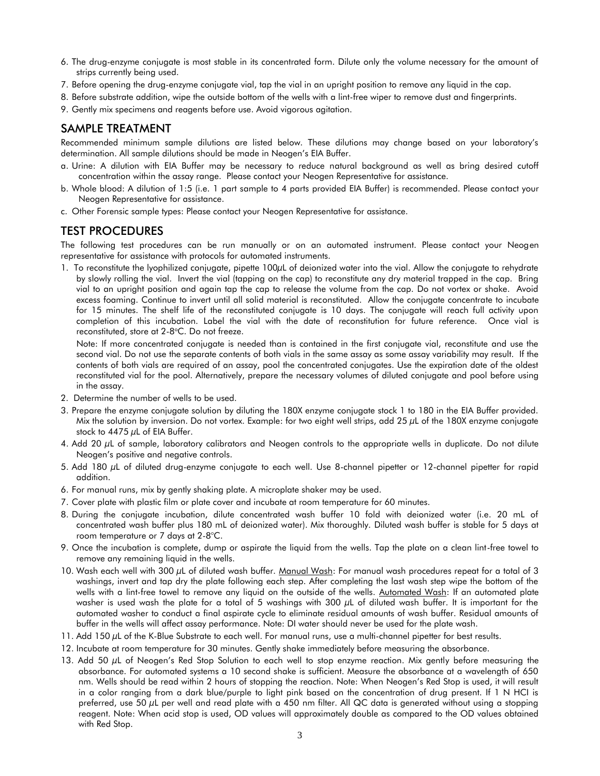- 6. The drug-enzyme conjugate is most stable in its concentrated form. Dilute only the volume necessary for the amount of strips currently being used.
- 7. Before opening the drug-enzyme conjugate vial, tap the vial in an upright position to remove any liquid in the cap.
- 8. Before substrate addition, wipe the outside bottom of the wells with a lint-free wiper to remove dust and fingerprints.
- 9. Gently mix specimens and reagents before use. Avoid vigorous agitation.

### SAMPLE TREATMENT

Recommended minimum sample dilutions are listed below. These dilutions may change based on your laboratory's determination. All sample dilutions should be made in Neogen's EIA Buffer.

- a. Urine: A dilution with EIA Buffer may be necessary to reduce natural background as well as bring desired cutoff concentration within the assay range. Please contact your Neogen Representative for assistance.
- b. Whole blood: A dilution of 1:5 (i.e. 1 part sample to 4 parts provided EIA Buffer) is recommended. Please contact your Neogen Representative for assistance.
- c. Other Forensic sample types: Please contact your Neogen Representative for assistance.

### TEST PROCEDURES

The following test procedures can be run manually or on an automated instrument. Please contact your Neogen representative for assistance with protocols for automated instruments.

1. To reconstitute the lyophilized conjugate, pipette 100µL of deionized water into the vial. Allow the conjugate to rehydrate by slowly rolling the vial. Invert the vial (tapping on the cap) to reconstitute any dry material trapped in the cap. Bring vial to an upright position and again tap the cap to release the volume from the cap. Do not vortex or shake. Avoid excess foaming. Continue to invert until all solid material is reconstituted. Allow the conjugate concentrate to incubate for 15 minutes. The shelf life of the reconstituted conjugate is 10 days. The conjugate will reach full activity upon completion of this incubation. Label the vial with the date of reconstitution for future reference. Once vial is reconstituted, store at 2-8°C. Do not freeze.

 Note: If more concentrated conjugate is needed than is contained in the first conjugate vial, reconstitute and use the second vial. Do not use the separate contents of both vials in the same assay as some assay variability may result. If the contents of both vials are required of an assay, pool the concentrated conjugates. Use the expiration date of the oldest reconstituted vial for the pool. Alternatively, prepare the necessary volumes of diluted conjugate and pool before using in the assay.

- 2. Determine the number of wells to be used.
- 3. Prepare the enzyme conjugate solution by diluting the 180X enzyme conjugate stock 1 to 180 in the EIA Buffer provided. Mix the solution by inversion. Do not vortex. Example: for two eight well strips, add 25  $\mu$ L of the 180X enzyme conjugate stock to 4475  $\mu$ L of EIA Buffer.
- 4. Add 20 µL of sample, laboratory calibrators and Neogen controls to the appropriate wells in duplicate. Do not dilute Neogen's positive and negative controls.
- 5. Add 180 µL of diluted drug-enzyme conjugate to each well. Use 8-channel pipetter or 12-channel pipetter for rapid addition.
- 6. For manual runs, mix by gently shaking plate. A microplate shaker may be used.
- 7. Cover plate with plastic film or plate cover and incubate at room temperature for 60 minutes.
- 8. During the conjugate incubation, dilute concentrated wash buffer 10 fold with deionized water (i.e. 20 mL of concentrated wash buffer plus 180 mL of deionized water). Mix thoroughly. Diluted wash buffer is stable for 5 days at room temperature or 7 days at 2-8°C.
- 9. Once the incubation is complete, dump or aspirate the liquid from the wells. Tap the plate on a clean lint-free towel to remove any remaining liquid in the wells.
- 10. Wash each well with 300  $\mu$ L of diluted wash buffer. Manual Wash: For manual wash procedures repeat for a total of 3 washings, invert and tap dry the plate following each step. After completing the last wash step wipe the bottom of the wells with a lint-free towel to remove any liquid on the outside of the wells. Automated Wash: If an automated plate washer is used wash the plate for a total of 5 washings with 300 µL of diluted wash buffer. It is important for the automated washer to conduct a final aspirate cycle to eliminate residual amounts of wash buffer. Residual amounts of buffer in the wells will affect assay performance. Note: DI water should never be used for the plate wash.
- 11. Add 150  $\mu$ L of the K-Blue Substrate to each well. For manual runs, use a multi-channel pipetter for best results.
- 12. Incubate at room temperature for 30 minutes. Gently shake immediately before measuring the absorbance.
- 13. Add 50  $\mu$ L of Neogen's Red Stop Solution to each well to stop enzyme reaction. Mix gently before measuring the absorbance. For automated systems a 10 second shake is sufficient. Measure the absorbance at a wavelength of 650 nm. Wells should be read within 2 hours of stopping the reaction. Note: When Neogen's Red Stop is used, it will result in a color ranging from a dark blue/purple to light pink based on the concentration of drug present. If 1 N HCI is preferred, use 50 µL per well and read plate with a 450 nm filter. All QC data is generated without using a stopping reagent. Note: When acid stop is used, OD values will approximately double as compared to the OD values obtained with Red Stop.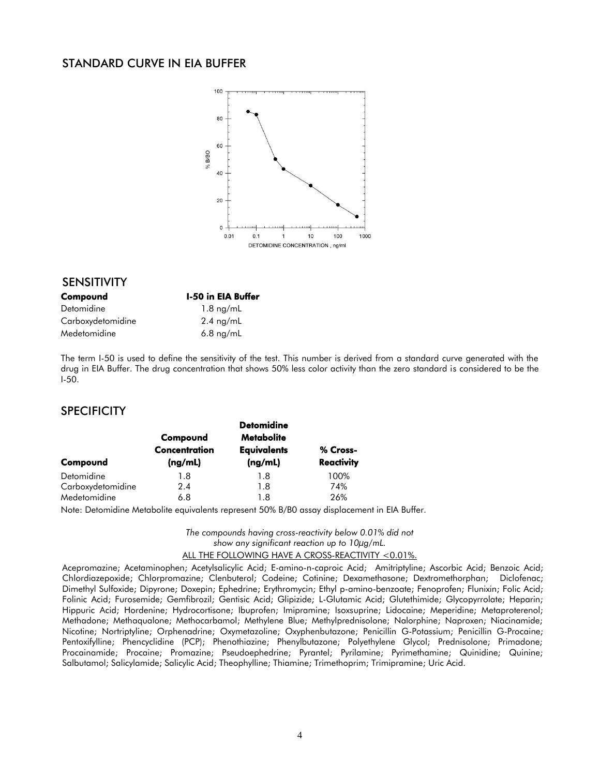## STANDARD CURVE IN EIA BUFFER



#### SENSITIVITY

| Compound          | <b>I-50 in EIA Buffer</b> |  |
|-------------------|---------------------------|--|
| Detomidine        | $1.8 \text{ ng/mL}$       |  |
| Carboxydetomidine | $2.4 \text{ ng/mL}$       |  |
| Medetomidine      | $6.8$ ng/mL               |  |

The term I-50 is used to define the sensitivity of the test. This number is derived from a standard curve generated with the drug in EIA Buffer. The drug concentration that shows 50% less color activity than the zero standard is considered to be the I-50.

#### **SPECIFICITY**

| Compound                        | Compound<br>Concentration<br>(ng/mL) | <b>Detomidine</b><br><b>Metabolite</b><br><b>Equivalents</b><br>(ng/mL) | % Cross-<br><b>Reactivity</b> |
|---------------------------------|--------------------------------------|-------------------------------------------------------------------------|-------------------------------|
| Detomidine<br>Carboxydetomidine | 1.8<br>2.4                           | 1.8<br>1.8                                                              | 100%<br>74%                   |
| Medetomidine                    | 6.8                                  | 1.8                                                                     | 26%                           |

Note: Detomidine Metabolite equivalents represent 50% B/B0 assay displacement in EIA Buffer.

*The compounds having cross-reactivity below 0.01% did not show any significant reaction up to 10µg/mL.*

#### ALL THE FOLLOWING HAVE A CROSS-REACTIVITY <0.01%.

Acepromazine; Acetaminophen; Acetylsalicylic Acid; E-amino-n-caproic Acid; Amitriptyline; Ascorbic Acid; Benzoic Acid; Chlordiazepoxide; Chlorpromazine; Clenbuterol; Codeine; Cotinine; Dexamethasone; Dextromethorphan; Diclofenac; Dimethyl Sulfoxide; Dipyrone; Doxepin; Ephedrine; Erythromycin; Ethyl p-amino-benzoate; Fenoprofen; Flunixin; Folic Acid; Folinic Acid; Furosemide; Gemfibrozil; Gentisic Acid; Glipizide; L-Glutamic Acid; Glutethimide; Glycopyrrolate; Heparin; Hippuric Acid; Hordenine; Hydrocortisone; Ibuprofen; Imipramine; Isoxsuprine; Lidocaine; Meperidine; Metaproterenol; Methadone; Methaqualone; Methocarbamol; Methylene Blue; Methylprednisolone; Nalorphine; Naproxen; Niacinamide; Nicotine; Nortriptyline; Orphenadrine; Oxymetazoline; Oxyphenbutazone; Penicillin G-Potassium; Penicillin G-Procaine; Pentoxifylline; Phencyclidine (PCP); Phenothiazine; Phenylbutazone; Polyethylene Glycol; Prednisolone; Primadone; Procainamide; Procaine; Promazine; Pseudoephedrine; Pyrantel; Pyrilamine; Pyrimethamine; Quinidine; Quinine; Salbutamol; Salicylamide; Salicylic Acid; Theophylline; Thiamine; Trimethoprim; Trimipramine; Uric Acid.